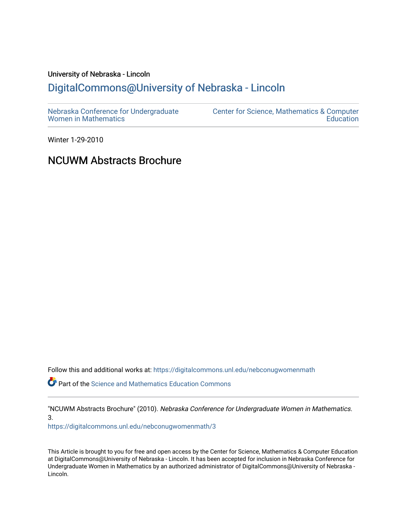#### University of Nebraska - Lincoln [DigitalCommons@University of Nebraska - Lincoln](https://digitalcommons.unl.edu/)

| Nebraska Conference for Undergraduate | <b>Center for Science, Mathematics &amp; Computer</b> |
|---------------------------------------|-------------------------------------------------------|
| <b>Women in Mathematics</b>           | Education                                             |

Winter 1-29-2010

#### NCUWM Abstracts Brochure

Follow this and additional works at: [https://digitalcommons.unl.edu/nebconugwomenmath](https://digitalcommons.unl.edu/nebconugwomenmath?utm_source=digitalcommons.unl.edu%2Fnebconugwomenmath%2F3&utm_medium=PDF&utm_campaign=PDFCoverPages)

**P** Part of the Science and Mathematics Education Commons

"NCUWM Abstracts Brochure" (2010). Nebraska Conference for Undergraduate Women in Mathematics. 3.

[https://digitalcommons.unl.edu/nebconugwomenmath/3](https://digitalcommons.unl.edu/nebconugwomenmath/3?utm_source=digitalcommons.unl.edu%2Fnebconugwomenmath%2F3&utm_medium=PDF&utm_campaign=PDFCoverPages)

This Article is brought to you for free and open access by the Center for Science, Mathematics & Computer Education at DigitalCommons@University of Nebraska - Lincoln. It has been accepted for inclusion in Nebraska Conference for Undergraduate Women in Mathematics by an authorized administrator of DigitalCommons@University of Nebraska - Lincoln.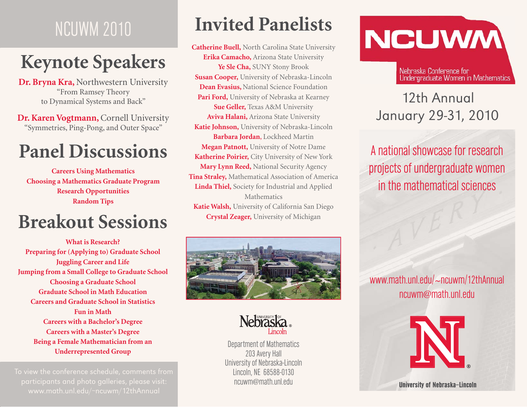# NCUWM 2010

# **Keynote Speakers**

**Dr. Bryna Kra,** Northwestern University "From Ramsey Theory to Dynamical Systems and Back"

**Dr. Karen Vogtmann,** Cornell University "Symmetries, Ping-Pong, and Outer Space"

# **Panel Discussions**

**Careers Using Mathematics Choosing a Mathematics Graduate Program Research Opportunities Random Tips**

#### **Crystal Zeager,** University of Michigan **Breakout Sessions**

**What is Research?Preparing for (Applying to) Graduate School Juggling Career and Life Jumping from a Small College to Graduate School Choosing a Graduate School Graduate School in Math EducationCareers and Graduate School in StatisticsFun in MathCareers with a Bachelor's Degree Careers with a Master's Degree Being a Female Mathematician from an Underrepresented Group**

www.math.unl.edu/ ~ncuwm/12thAnnual

### **Invited Panelists**

**Catherine Buell,** North Carolina State University **Erika Camacho,** Arizona State University **Ye Sle Cha,** SUNY Stony Brook **Susan Cooper,** University of Nebraska-Lincoln **Dean Evasius,** National Science Foundation **Pari Ford,** University of Nebraska at Kearney **Sue Geller,** Texas A&M University **Aviva Halani,** Arizona State University **Katie Johnson,** University of Nebraska-Lincoln **Barbara Jordan**, Lockheed Martin **Megan Patnott,** University of Notre Dame **Katherine Poirier,** City University of New York **Mary Lynn Reed,** National Security Agency **Tina Straley,** Mathematical Association of America **Linda Thiel,** Society for Industrial and Applied **Mathematics Katie Walsh,** University of California San Diego





Department of Mathematics 203 Avery Hall University of Nebraska-Lincoln Lincoln, NE 68588-0130 ncuwm@math.unl.edu

# **NCUWM**

Nebraska Conference for<br>Undergraduate Women in Mathematics

#### 12th AnnualJanuary 29-31, 2010

A national showcase for research projects of undergraduate women in the mathematical sciences

www.math.unl.edu/ **<sup>~</sup>**ncuwm/12thAnnual ncuwm@math.unl.edu



University of Nebraska–Lincoln